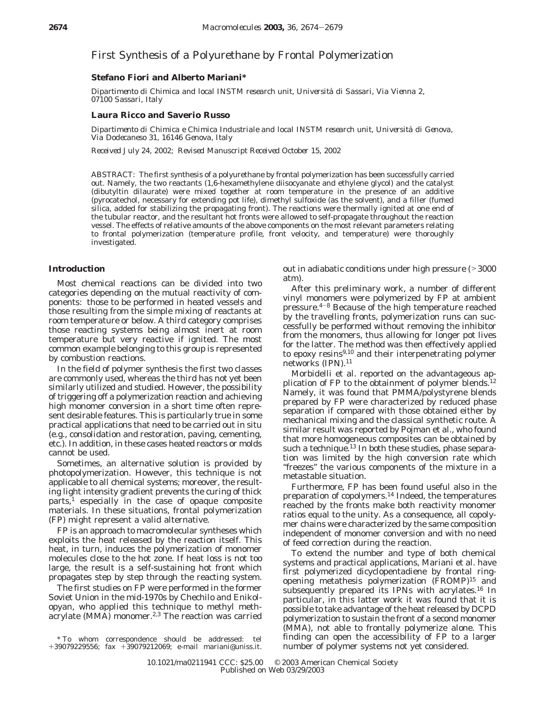# First Synthesis of a Polyurethane by Frontal Polymerization

## **Stefano Fiori and Alberto Mariani\***

*Dipartimento di Chimica and local INSTM research unit, Universita*` *di Sassari, Via Vienna 2, 07100 Sassari, Italy*

## **Laura Ricco and Saverio Russo**

*Dipartimento di Chimica e Chimica Industriale and local INSTM research unit, Universita*` *di Genova, Via Dodecaneso 31, 16146 Genova, Italy*

*Received July 24, 2002; Revised Manuscript Received October 15, 2002*

ABSTRACT: The first synthesis of a polyurethane by frontal polymerization has been successfully carried out. Namely, the two reactants (1,6-hexamethylene diisocyanate and ethylene glycol) and the catalyst (dibutyltin dilaurate) were mixed together at room temperature in the presence of an additive (pyrocatechol, necessary for extending pot life), dimethyl sulfoxide (as the solvent), and a filler (fumed silica, added for stabilizing the propagating front). The reactions were thermally ignited at one end of the tubular reactor, and the resultant hot fronts were allowed to self-propagate throughout the reaction vessel. The effects of relative amounts of the above components on the most relevant parameters relating to frontal polymerization (temperature profile, front velocity, and temperature) were thoroughly investigated.

## **Introduction**

Most chemical reactions can be divided into two categories depending on the mutual reactivity of components: those to be performed in heated vessels and those resulting from the simple mixing of reactants at room temperature or below. A third category comprises those reacting systems being almost inert at room temperature but very reactive if ignited. The most common example belonging to this group is represented by combustion reactions.

In the field of polymer synthesis the first two classes are commonly used, whereas the third has not yet been similarly utilized and studied. However, the possibility of triggering off a polymerization reaction and achieving high monomer conversion in a short time often represent desirable features. This is particularly true in some practical applications that need to be carried out in situ (e.g., consolidation and restoration, paving, cementing, etc.). In addition, in these cases heated reactors or molds cannot be used.

Sometimes, an alternative solution is provided by photopolymerization. However, this technique is not applicable to all chemical systems; moreover, the resulting light intensity gradient prevents the curing of thick  $parts<sup>1</sup>$  especially in the case of opaque composite materials. In these situations, frontal polymerization (FP) might represent a valid alternative.

FP is an approach to macromolecular syntheses which exploits the heat released by the reaction itself. This heat, in turn, induces the polymerization of monomer molecules close to the hot zone. If heat loss is not too large, the result is a self-sustaining hot front which propagates step by step through the reacting system.

The first studies on FP were performed in the former Soviet Union in the mid-1970s by Chechilo and Enikolopyan, who applied this technique to methyl methacrylate (MMA) monomer.<sup>2,3</sup> The reaction was carried

number of polymer systems not yet considered. \* To whom correspondence should be addressed: tel +39079229556; fax +39079212069; e-mail mariani@uniss.it.

out in adiabatic conditions under high pressure (><sup>3000</sup> atm).

After this preliminary work, a number of different vinyl monomers were polymerized by FP at ambient pressure.4-<sup>8</sup> Because of the high temperature reached by the travelling fronts, polymerization runs can successfully be performed without removing the inhibitor from the monomers, thus allowing for longer pot lives for the latter. The method was then effectively applied to epoxy resins9,10 and their interpenetrating polymer networks (IPN).<sup>11</sup>

Morbidelli et al. reported on the advantageous application of  $FP$  to the obtainment of polymer blends.<sup>12</sup> Namely, it was found that PMMA/polystyrene blends prepared by FP were characterized by reduced phase separation if compared with those obtained either by mechanical mixing and the classical synthetic route. A similar result was reported by Pojman et al., who found that more homogeneous composites can be obtained by such a technique.<sup>13</sup> In both these studies, phase separation was limited by the high conversion rate which "freezes" the various components of the mixture in a metastable situation.

Furthermore, FP has been found useful also in the preparation of copolymers.14 Indeed, the temperatures reached by the fronts make both reactivity monomer ratios equal to the unity. As a consequence, all copolymer chains were characterized by the same composition independent of monomer conversion and with no need of feed correction during the reaction.

To extend the number and type of both chemical systems and practical applications, Mariani et al. have first polymerized dicyclopentadiene by frontal ringopening metathesis polymerization (FROMP)15 and subsequently prepared its IPNs with acrylates.<sup>16</sup> In particular, in this latter work it was found that it is possible to take advantage of the heat released by DCPD polymerization to sustain the front of a second monomer (MMA), not able to frontally polymerize alone. This finding can open the accessibility of FP to a larger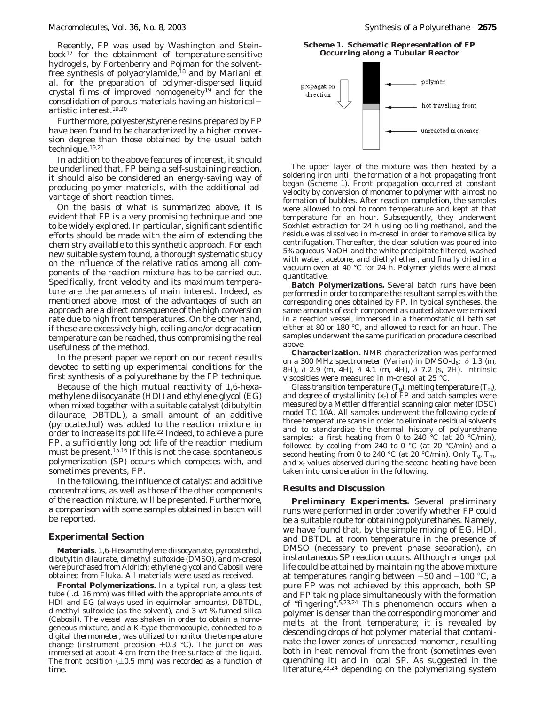## *Macromolecules, Vol. 36, No. 8, 2003* Synthesis of a Polyurethane **2675**

Recently, FP was used by Washington and Stein $bock<sup>17</sup>$  for the obtainment of temperature-sensitive hydrogels, by Fortenberry and Pojman for the solventfree synthesis of polyacrylamide,<sup>18</sup> and by Mariani et al. for the preparation of polymer-dispersed liquid crystal films of improved homogeneity19 and for the consolidation of porous materials having an historicalartistic interest.<sup>19,20</sup>

Furthermore, polyester/styrene resins prepared by FP have been found to be characterized by a higher conversion degree than those obtained by the usual batch technique.19,21

In addition to the above features of interest, it should be underlined that, FP being a self-sustaining reaction, it should also be considered an energy-saving way of producing polymer materials, with the additional advantage of short reaction times.

On the basis of what is summarized above, it is evident that FP is a very promising technique and one to be widely explored. In particular, significant scientific efforts should be made with the aim of extending the chemistry available to this synthetic approach. For each new suitable system found, a thorough systematic study on the influence of the relative ratios among all components of the reaction mixture has to be carried out. Specifically, front velocity and its maximum temperature are the parameters of main interest. Indeed, as mentioned above, most of the advantages of such an approach are a direct consequence of the high conversion rate due to high front temperatures. On the other hand, if these are excessively high, ceiling and/or degradation temperature can be reached, thus compromising the real usefulness of the method.

In the present paper we report on our recent results devoted to setting up experimental conditions for the first synthesis of a polyurethane by the FP technique.

Because of the high mutual reactivity of 1,6-hexamethylene diisocyanate (HDI) and ethylene glycol (EG) when mixed together with a suitable catalyst (dibutyltin dilaurate, DBTDL), a small amount of an additive (pyrocatechol) was added to the reaction mixture in order to increase its pot life.22 Indeed, to achieve a *pure* FP, a sufficiently long pot life of the reaction medium must be present.<sup>15,16</sup> If this is not the case, spontaneous polymerization (SP) occurs which competes with, and sometimes prevents, FP.

In the following, the influence of catalyst and additive concentrations, as well as those of the other components of the reaction mixture, will be presented. Furthermore, a comparison with some samples obtained in batch will be reported.

#### **Experimental Section**

**Materials.** 1,6-Hexamethylene diisocyanate, pyrocatechol, dibutyltin dilaurate, dimethyl sulfoxide (DMSO), and *m*-cresol were purchased from Aldrich; ethylene glycol and Cabosil were obtained from Fluka. All materials were used as received.

**Frontal Polymerizations.** In a typical run, a glass test tube (i.d. 16 mm) was filled with the appropriate amounts of HDI and EG (always used in equimolar amounts), DBTDL, dimethyl sulfoxide (as the solvent), and 3 wt % fumed silica (Cabosil). The vessel was shaken in order to obtain a homogeneous mixture, and a K-type thermocouple, connected to a digital thermometer, was utilized to monitor the temperature change (instrument precision  $\pm 0.3$  °C). The junction was immersed at about 4 cm from the free surface of the liquid. The front position  $(\pm 0.5 \text{ mm})$  was recorded as a function of time.

**Scheme 1. Schematic Representation of FP Occurring along a Tubular Reactor**



The upper layer of the mixture was then heated by a soldering iron until the formation of a hot propagating front began (Scheme 1). Front propagation occurred at constant velocity by conversion of monomer to polymer with almost no formation of bubbles. After reaction completion, the samples were allowed to cool to room temperature and kept at that temperature for an hour. Subsequently, they underwent Soxhlet extraction for 24 h using boiling methanol, and the residue was dissolved in *m*-cresol in order to remove silica by centrifugation. Thereafter, the clear solution was poured into 5% aqueous NaOH and the white precipitate filtered, washed with water, acetone, and diethyl ether, and finally dried in a vacuum oven at 40 °C for 24 h. Polymer yields were almost quantitative.

**Batch Polymerizations.** Several batch runs have been performed in order to compare the resultant samples with the corresponding ones obtained by FP. In typical syntheses, the same amounts of each component as quoted above were mixed in a reaction vessel, immersed in a thermostatic oil bath set either at 80 or 180 °C, and allowed to react for an hour. The samples underwent the same purification procedure described above.

**Characterization.** NMR characterization was performed on a 300 MHz spectrometer (Varian) in DMSO-*d*6: *δ* 1.3 (m, 8H), *δ* 2.9 (m, 4H), *δ* 4.1 (m, 4H), *δ* 7.2 (s, 2H). Intrinsic viscosities were measured in *m*-cresol at 25 °C.

Glass transition temperature  $(T_g)$ , melting temperature  $(T_m)$ , and degree of crystallinity  $(x_c)$  of  $\overline{FP}$  and batch samples were measured by a Mettler differential scanning calorimeter (DSC) model TC 10A. All samples underwent the following cycle of three temperature scans in order to eliminate residual solvents and to standardize the thermal history of polyurethane samples: a first heating from 0 to 240 °C (at 20 °C/min), followed by cooling from 240 to 0 °C (at 20 °C/min) and a second heating from 0 to 240 °C (at 20 °C/min). Only *T*g, *T*m, and  $x_c$  values observed during the second heating have been taken into consideration in the following.

## **Results and Discussion**

**Preliminary Experiments.** Several preliminary runs were performed in order to verify whether FP could be a suitable route for obtaining polyurethanes. Namely, we have found that, by the simple mixing of EG, HDI, and DBTDL at room temperature in the presence of DMSO (necessary to prevent phase separation), an instantaneous SP reaction occurs. Although a longer pot life could be attained by maintaining the above mixture at temperatures ranging between  $-50$  and  $-100$  °C, a pure FP was not achieved by this approach, both SP and FP taking place simultaneously with the formation of "fingering". $5,23,24$  This phenomenon occurs when a polymer is denser than the corresponding monomer and melts at the front temperature; it is revealed by descending drops of hot polymer material that contaminate the lower zones of unreacted monomer, resulting both in heat removal from the front (sometimes even quenching it) and in local SP. As suggested in the literature, $23,24$  depending on the polymerizing system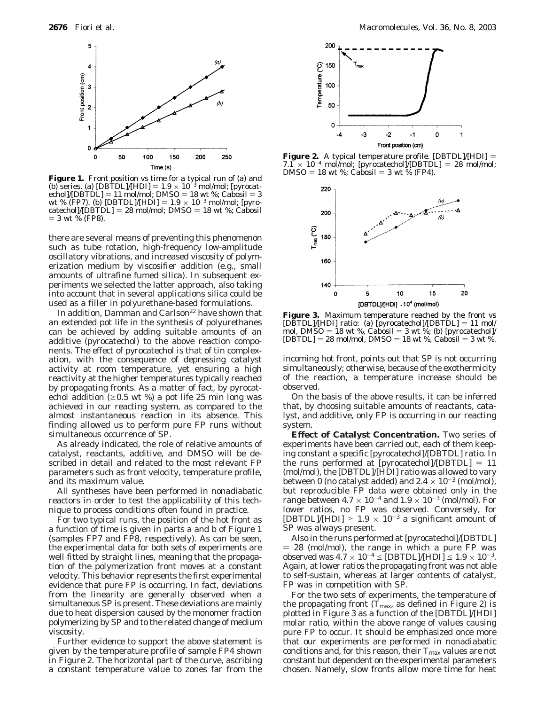

**Figure 1.** Front position vs time for a typical run of (a) and (b) series. (a)  $[DBTDL]/[HDI] = 1.9 \times 10^{-3}$  mol/mol; [pyrocat-<br>echoll/[DBTDL] = 11 mol/mol: DMSO = 18 wt %: Cabosil = 3 echol]/[DBTDL] = 11 mol/mol; DMSO = 18 wt %; Cabosil = 3 wt % (FP7). (b) [DBTDL]/[HDI] =  $1.9 \times 10^{-3}$  mol/mol; [pyro- $\text{catechol}/[\text{DBTDL}] = 28 \text{ mol/mol}$ ; DMSO = 18 wt %; Cabosil  $=$  3 wt % (FP8).

there are several means of preventing this phenomenon such as tube rotation, high-frequency low-amplitude oscillatory vibrations, and increased viscosity of polymerization medium by viscosifier addition (e.g., small amounts of ultrafine fumed silica). In subsequent experiments we selected the latter approach, also taking into account that in several applications silica could be used as a filler in polyurethane-based formulations.

In addition, Damman and Carlson<sup>22</sup> have shown that an extended pot life in the synthesis of polyurethanes can be achieved by adding suitable amounts of an additive (pyrocatechol) to the above reaction components. The effect of pyrocatechol is that of tin complexation, with the consequence of depressing catalyst activity at room temperature, yet ensuring a high reactivity at the higher temperatures typically reached by propagating fronts. As a matter of fact, by pyrocatechol addition ( $\geq$ 0.5 wt %) a pot life 25 min long was achieved in our reacting system, as compared to the almost instantaneous reaction in its absence. This finding allowed us to perform pure FP runs without simultaneous occurrence of SP.

As already indicated, the role of relative amounts of catalyst, reactants, additive, and DMSO will be described in detail and related to the most relevant FP parameters such as front velocity, temperature profile, and its maximum value.

All syntheses have been performed in nonadiabatic reactors in order to test the applicability of this technique to process conditions often found in practice.

For two typical runs, the position of the hot front as a function of time is given in parts a and b of Figure 1 (samples FP7 and FP8, respectively). As can be seen, the experimental data for both sets of experiments are well fitted by straight lines, meaning that the propagation of the polymerization front moves at a constant velocity. This behavior represents the first experimental evidence that pure FP is occurring. In fact, deviations from the linearity are generally observed when a simultaneous SP is present. These deviations are mainly due to heat dispersion caused by the monomer fraction polymerizing by SP and to the related change of medium viscosity.

Further evidence to support the above statement is given by the temperature profile of sample FP4 shown in Figure 2. The horizontal part of the curve, ascribing a constant temperature value to zones far from the



**Figure 2.** A typical temperature profile. [DBTDL]/[HDI] =  $7.1 \times 10^{-4}$  mol/mol; [pyrocatechol]/[DBTDL] = 28 mol/mol;  $DMSO = 18$  wt %; Cabosil = 3 wt % (FP4).



**Figure 3.** Maximum temperature reached by the front vs [DBTDL]/[HDI] ratio: (a) [pyrocatechol]/[DBTDL]  $= 11$  mol/ mol, DMSO = 18 wt %, Cabosil = 3 wt %; (b) [pyrocatechol]/  $[DBTDL] = 28 \text{ mol/mol}$ ,  $DMSO = 18 \text{ wt } \%$ , Cabosil = 3 wt %.

incoming hot front, points out that SP is not occurring simultaneously; otherwise, because of the exothermicity of the reaction, a temperature increase should be observed.

On the basis of the above results, it can be inferred that, by choosing suitable amounts of reactants, catalyst, and additive, only FP is occurring in our reacting system.

**Effect of Catalyst Concentration.** Two series of experiments have been carried out, each of them keeping constant a specific [pyrocatechol]/[DBTDL] ratio. In the runs performed at [pyrocatechol]/ $[DBTDL] = 11$ (mol/mol), the [DBTDL]/[HDI] ratio was allowed to vary between 0 (no catalyst added) and  $2.4 \times 10^{-3}$  (mol/mol), but reproducible FP data were obtained only in the range between  $4.7 \times 10^{-4}$  and  $1.9 \times 10^{-3}$  (mol/mol). For lower ratios, no FP was observed. Conversely, for [DBTDL]/[HDI] > 1.9  $\times$  10<sup>-3</sup> a significant amount of SP was always present.

Also in the runs performed at [pyrocatechol]/[DBTDL]  $= 28$  (mol/mol), the range in which a pure FP was observed was  $4.7 \times 10^{-4} \leq$  [DBTDL]/[HDI]  $\leq 1.9 \times 10^{-3}$ . Again, at lower ratios the propagating front was not able to self-sustain, whereas at larger contents of catalyst, FP was in competition with SP.

For the two sets of experiments, the temperature of the propagating front  $(T_{\text{max}})$ , as defined in Figure 2) is plotted in Figure 3 as a function of the [DBTDL]/[HDI] molar ratio, within the above range of values causing pure FP to occur. It should be emphasized once more that our experiments are performed in nonadiabatic conditions and, for this reason, their  $T_{\text{max}}$  values are not constant but dependent on the experimental parameters chosen. Namely, slow fronts allow more time for heat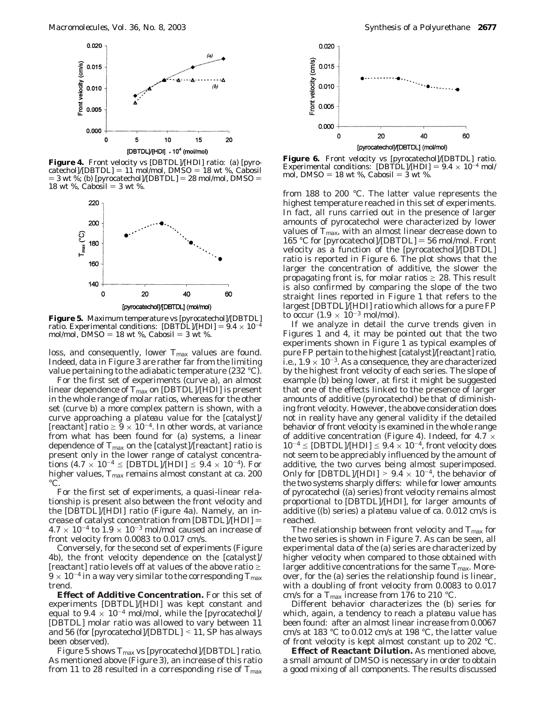

**Figure 4.** Front velocity vs [DBTDL]/[HDI] ratio: (a) [pyrocatechol]/[DBTDL] = 11 mol/mol, DMSO = 18 wt %, Cabosil  $=$  3 wt %; (b) [pyrocatechol]/[DBTDL]  $=$  28 mol/mol, DMSO  $=$ 18 wt %, Cabosil = 3 wt %.



**Figure 5.** Maximum temperature vs [pyrocatechol]/[DBTDL] ratio. Experimental conditions:  $[DBT\tilde{D}L]/[HDI] = 9.4 \times 10^{-4}$ mol/mol,  $DMSO = 18$  wt %, Cabosil = 3 wt %.

loss, and consequently, lower  $T_{\text{max}}$  values are found. Indeed, data in Figure 3 are rather far from the limiting value pertaining to the adiabatic temperature (232 °C).

For the first set of experiments (curve a), an almost linear dependence of  $T_{\text{max}}$  on [DBTDL]/[HDI] is present in the whole range of molar ratios, whereas for the other set (curve b) a more complex pattern is shown, with a curve approaching a *plateau* value for the [catalyst]/ [reactant] ratio  $\geq 9 \times 10^{-4}$ . In other words, at variance from what has been found for (a) systems, a linear dependence of *T*max on the [catalyst]/[reactant] ratio is present only in the lower range of catalyst concentrations (4.7  $\times$  10<sup>-4</sup>  $\leq$  [DBTDL]/[HDI]  $\leq 9.4 \times 10^{-4}$ ). For higher values,  $T_{\text{max}}$  remains almost constant at ca. 200  $\rm ^{\circ}C.$ 

For the first set of experiments, a quasi-linear relationship is present also between the front velocity and the [DBTDL]/[HDI] ratio (Figure 4a). Namely, an increase of catalyst concentration from  $[DBTDL]/[HDI] =$  $4.7 \times 10^{-4}$  to  $1.9 \times 10^{-3}$  mol/mol caused an increase of front velocity from 0.0083 to 0.017 cm/s.

Conversely, for the second set of experiments (Figure 4b), the front velocity dependence on the [catalyst]/ [reactant] ratio levels off at values of the above ratio  $\geq$  $9 \times 10^{-4}$  in a way very similar to the corresponding  $T_{\text{max}}$ trend.

**Effect of Additive Concentration.** For this set of experiments [DBTDL]/[HDI] was kept constant and equal to  $9.4 \times 10^{-4}$  mol/mol, while the [pyrocatechol]/ [DBTDL] molar ratio was allowed to vary between 11 and 56 (for [pyrocatechol]/[DBTDL] < 11, SP has always been observed).

Figure 5 shows  $T_{\text{max}}$  vs [pyrocatechol]/[DBTDL] ratio. As mentioned above (Figure 3), an increase of this ratio from 11 to 28 resulted in a corresponding rise of  $T_{\text{max}}$ 



**Figure 6.** Front velocity vs [pyrocatechol]/[DBTDL] ratio. Experimental conditions:  $[DBT\ddot{D}L]/[HDI] = 9.4 \times 10^{-4}$  mol/ mol, DMSO = 18 wt %, Cabosil = 3 wt %.

from 188 to 200 °C. The latter value represents the highest temperature reached in this set of experiments. In fact, all runs carried out in the presence of larger amounts of pyrocatechol were characterized by lower values of *T*max, with an almost linear decrease down to 165 °C for [pyrocatechol]/[DBTDL]  $=$  56 mol/mol. Front velocity as a function of the [pyrocatechol]/[DBTDL] ratio is reported in Figure 6. The plot shows that the larger the concentration of additive, the slower the propagating front is, for molar ratios  $\geq 28$ . This result is also confirmed by comparing the slope of the two straight lines reported in Figure 1 that refers to the largest [DBTDL]/[HDI] ratio which allows for a pure FP to occur  $(1.9 \times 10^{-3} \text{ mol/mol})$ .

If we analyze in detail the curve trends given in Figures 1 and 4, it may be pointed out that the two experiments shown in Figure 1 as typical examples of pure FP pertain to the highest [catalyst]/[reactant] ratio, i.e.,  $1.9 \times 10^{-3}$ . As a consequence, they are characterized by the highest front velocity of each series. The slope of example (b) being lower, at first it might be suggested that one of the effects linked to the presence of larger amounts of additive (pyrocatechol) be that of diminishing front velocity. However, the above consideration does not in reality have any general validity if the detailed behavior of front velocity is examined in the whole range of additive concentration (Figure 4). Indeed, for 4.7  $\times$  $10^{-4} \leq$  [DBTDL]/[HDI]  $\leq 9.4 \times 10^{-4}$ , front velocity does not seem to be appreciably influenced by the amount of additive, the two curves being almost superimposed. Only for [DBTDL]/[HDI] >  $9.4 \times 10^{-4}$ , the behavior of the two systems sharply differs: while for lower amounts of pyrocatechol ((a) series) front velocity remains almost proportional to [DBTDL]/[HDI], for larger amounts of additive ((b) series) a *plateau* value of ca. 0.012 cm/s is reached.

The relationship between front velocity and *T*max for the two series is shown in Figure 7. As can be seen, all experimental data of the (a) series are characterized by higher velocity when compared to those obtained with larger additive concentrations for the same  $T_{\text{max}}$ . Moreover, for the (a) series the relationship found is linear, with a doubling of front velocity from 0.0083 to 0.017 cm/s for a  $T_{\text{max}}$  increase from 176 to 210 °C.

Different behavior characterizes the (b) series for which, again, a tendency to reach a *plateau* value has been found: after an almost linear increase from 0.0067 cm/s at 183 °C to 0.012 cm/s at 198 °C, the latter value of front velocity is kept almost constant up to 202 °C.

**Effect of Reactant Dilution.** As mentioned above, a small amount of DMSO is necessary in order to obtain a good mixing of all components. The results discussed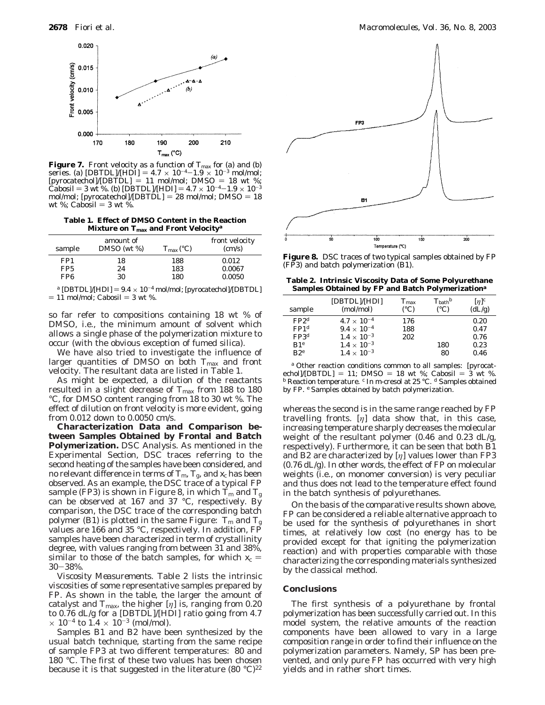

**Figure 7.** Front velocity as a function of  $T_{\text{max}}$  for (a) and (b) series. (a)  $[DBTDL]/[HDI] = 4.7 \times 10^{-4} - 1.9 \times 10^{-3}$  mol/mol;<br>[pyrocatechol]/[DBTDL] = 11 mol/mol: DMSO = 18 wt %; [pyrocatechol]/[DBTDL] = 11 mol/mol; DMSO = 18 wt %; Cabosil = 3 wt %. (b) [DBTDL]/[HDI] =  $4.7 \times 10^{-4}$  –  $1.9 \times 10^{-3}$ mol/mol; [pyrocatechol]/[DBTDL] = 28 mol/mol; DMSO =  $18$ wt %; Cabosil  $=$  3 wt %.

**Table 1. Effect of DMSO Content in the Reaction Mixture on** *T***max and Front Velocity***<sup>a</sup>*

| sample          | amount of<br>$DMSO$ (wt %) | $T_{\rm max}$ (°C) | front velocity<br>$\text{(cm/s)}$ |
|-----------------|----------------------------|--------------------|-----------------------------------|
| FP1             | 18                         | 188                | 0.012                             |
| FP5             | 24                         | 183                | 0.0067                            |
| FP <sub>6</sub> | 30                         | 180                | 0.0050                            |

*a* [DBTDL]/[HDI] =  $9.4 \times 10^{-4}$  mol/mol; [pyrocatechol]/[DBTDL]  $= 11$  mol/mol; Cabosil  $= 3$  wt %.

so far refer to compositions containing 18 wt % of DMSO, i.e., the minimum amount of solvent which allows a single phase of the polymerization mixture to occur (with the obvious exception of fumed silica).

We have also tried to investigate the influence of larger quantities of DMSO on both  $T_{\text{max}}$  and front velocity. The resultant data are listed in Table 1.

As might be expected, a dilution of the reactants resulted in a slight decrease of  $T_{\text{max}}$  from 188 to 180 °C, for DMSO content ranging from 18 to 30 wt %. The effect of dilution on front velocity is more evident, going from 0.012 down to 0.0050 cm/s.

**Characterization Data and Comparison between Samples Obtained by Frontal and Batch Polymerization.** *DSC Analysis.* As mentioned in the Experimental Section, DSC traces referring to the second heating of the samples have been considered, and no relevant difference in terms of  $T_m$ ,  $T_g$ , and  $x_c$  has been observed. As an example, the DSC trace of a typical FP sample (FP3) is shown in Figure 8, in which  $T_m$  and  $T_g$ can be observed at 167 and 37 °C, respectively. By comparison, the DSC trace of the corresponding batch polymer (B1) is plotted in the same Figure:  $T_m$  and  $T_g$ values are 166 and 35 °C, respectively. In addition, FP samples have been characterized in term of crystallinity degree, with values ranging from between 31 and 38%, similar to those of the batch samples, for which  $x_c =$ <sup>30</sup>-38%.

*Viscosity Measurements.* Table 2 lists the intrinsic viscosities of some representative samples prepared by FP. As shown in the table, the larger the amount of catalyst and  $T_{\text{max}}$ , the higher  $[\eta]$  is, ranging from 0.20 to 0.76 dL/g for a [DBTDL]/[HDI] ratio going from 4.7  $\times$  10<sup>-4</sup> to 1.4  $\times$  10<sup>-3</sup> (mol/mol).

Samples B1 and B2 have been synthesized by the usual batch technique, starting from the same recipe of sample FP3 at two different temperatures: 80 and 180 °C. The first of these two values has been chosen because it is that suggested in the literature  $(80 \text{ °C})^{22}$ 



**Figure 8.** DSC traces of two typical samples obtained by FP (FP3) and batch polymerization (B1).

**Table 2. Intrinsic Viscosity Data of Some Polyurethane Samples Obtained by FP and Batch Polymerization***<sup>a</sup>*

| sample                                                        | [DBTDL]/[HDI]                                                                                                        | $T_{\rm max}$     | $T_{\rm bath}^b$ | $[\eta]^{c}$                         |
|---------------------------------------------------------------|----------------------------------------------------------------------------------------------------------------------|-------------------|------------------|--------------------------------------|
|                                                               | (mol/mol)                                                                                                            | $(^{\circ}C)$     | $(^{\circ}C)$    | (dL/g)                               |
| FP2d<br>FP1d<br>FP3 <sup>d</sup><br>B1 <sup>e</sup><br>$R2^e$ | $4.7 \times 10^{-4}$<br>$9.4 \times 10^{-4}$<br>$1.4 \times 10^{-3}$<br>$1.4 \times 10^{-3}$<br>$1.4 \times 10^{-3}$ | 176<br>188<br>202 | 180<br>80        | 0.20<br>0.47<br>0.76<br>0.23<br>0.46 |

*a* Other reaction conditions common to all samples: [pyrocat-<br>echoll/[DBTDL] = 11; DMSO = 18 wt %; Cabosil = 3 wt %. <sup>b</sup> Reaction temperature. <sup>c</sup> In *m*-cresol at 25 °C. <sup>*d*</sup> Samples obtained by FP. *<sup>e</sup>* Samples obtained by batch polymerization.

whereas the second is in the same range reached by FP travelling fronts. [*η*] data show that, in this case, increasing temperature sharply decreases the molecular weight of the resultant polymer (0.46 and 0.23 dL/g, respectively). Furthermore, it can be seen that both B1 and B2 are characterized by [*η*] values lower than FP3 (0.76 dL/g). In other words, the effect of FP on molecular weights (i.e., on monomer conversion) is very peculiar and thus does not lead to the temperature effect found in the batch synthesis of polyurethanes.

On the basis of the comparative results shown above, FP can be considered a reliable alternative approach to be used for the synthesis of polyurethanes in short times, at relatively low cost (no energy has to be provided except for that igniting the polymerization reaction) and with properties comparable with those characterizing the corresponding materials synthesized by the classical method.

## **Conclusions**

The first synthesis of a polyurethane by frontal polymerization has been successfully carried out. In this model system, the relative amounts of the reaction components have been allowed to vary in a large composition range in order to find their influence on the polymerization parameters. Namely, SP has been prevented, and only pure FP has occurred with very high yields and in rather short times.